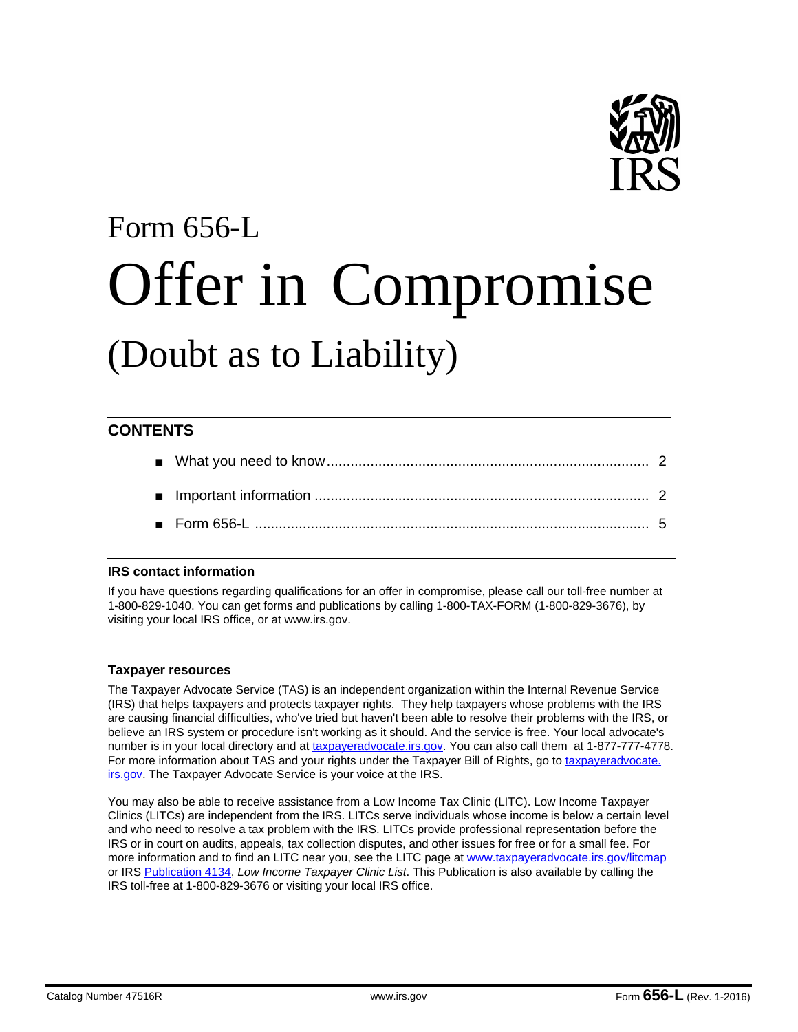

# Form 656-L Offer in Compromise (Doubt as to Liability)

# **CONTENTS**

# **IRS contact information**

If you have questions regarding qualifications for an offer in compromise, please call our toll-free number at 1-800-829-1040. You can get forms and publications by calling 1-800-TAX-FORM (1-800-829-3676), by visiting your local IRS office, or at www.irs.gov.

# **Taxpayer resources**

The Taxpayer Advocate Service (TAS) is an independent organization within the Internal Revenue Service (IRS) that helps taxpayers and protects taxpayer rights. They help taxpayers whose problems with the IRS are causing financial difficulties, who've tried but haven't been able to resolve their problems with the IRS, or believe an IRS system or procedure isn't working as it should. And the service is free. Your local advocate's number is in your local directory and at taxpayeradvocate.irs.gov. You can also call them at 1-877-777-4778. For more information about TAS and your rights under the Taxpayer Bill of Rights, go to taxpayeradvocate. irs.gov. The Taxpayer Advocate Service is your voice at the IRS.

You may also be able to receive assistance from a Low Income Tax Clinic (LITC). Low Income Taxpayer Clinics (LITCs) are independent from the IRS. LITCs serve individuals whose income is below a certain level and who need to resolve a tax problem with the IRS. LITCs provide professional representation before the IRS or in court on audits, appeals, tax collection disputes, and other issues for free or for a small fee. For more information and to find an LITC near you, see the LITC page at www.taxpayeradvocate.irs.gov/litcmap or IRS Publication 4134, *Low Income Taxpayer Clinic List*. This Publication is also available by calling the IRS toll-free at 1-800-829-3676 or visiting your local IRS office.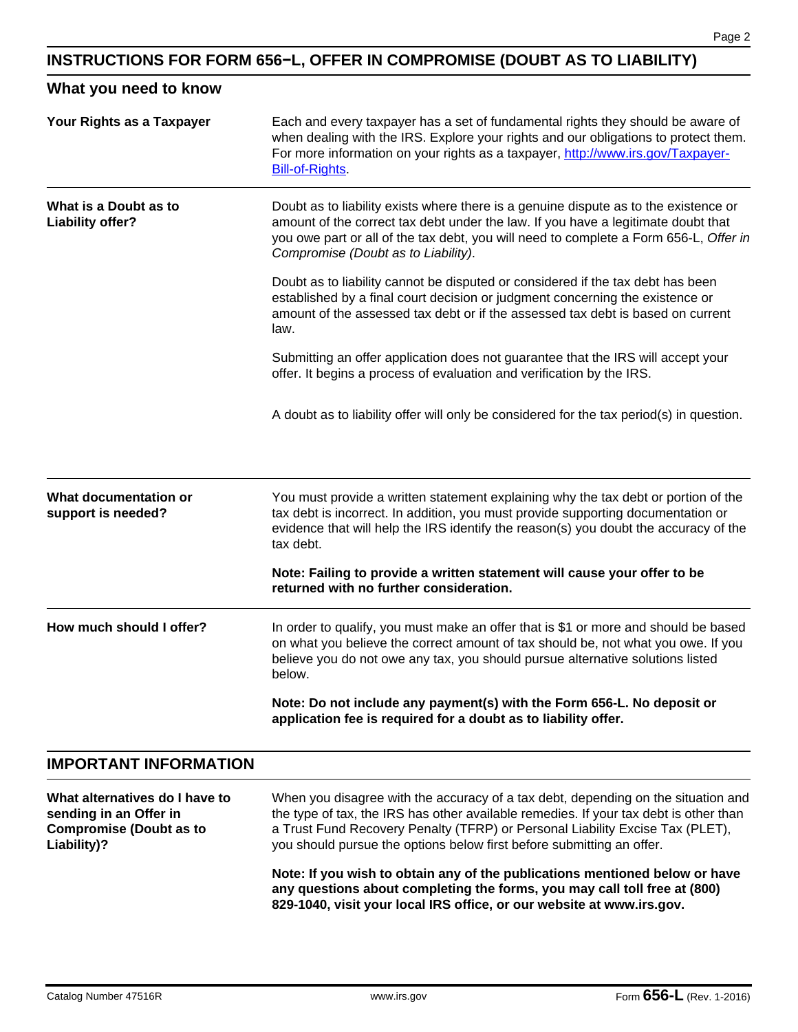# **INSTRUCTIONS FOR FORM 656−L, OFFER IN COMPROMISE (DOUBT AS TO LIABILITY)**

# **What you need to know**

| Your Rights as a Taxpayer                                | Each and every taxpayer has a set of fundamental rights they should be aware of<br>when dealing with the IRS. Explore your rights and our obligations to protect them.<br>For more information on your rights as a taxpayer, http://www.irs.gov/Taxpayer-<br><b>Bill-of-Rights</b>                        |  |  |  |  |
|----------------------------------------------------------|-----------------------------------------------------------------------------------------------------------------------------------------------------------------------------------------------------------------------------------------------------------------------------------------------------------|--|--|--|--|
| What is a Doubt as to<br>Liability offer?                | Doubt as to liability exists where there is a genuine dispute as to the existence or<br>amount of the correct tax debt under the law. If you have a legitimate doubt that<br>you owe part or all of the tax debt, you will need to complete a Form 656-L, Offer in<br>Compromise (Doubt as to Liability). |  |  |  |  |
|                                                          | Doubt as to liability cannot be disputed or considered if the tax debt has been<br>established by a final court decision or judgment concerning the existence or<br>amount of the assessed tax debt or if the assessed tax debt is based on current<br>law.                                               |  |  |  |  |
|                                                          | Submitting an offer application does not guarantee that the IRS will accept your<br>offer. It begins a process of evaluation and verification by the IRS.                                                                                                                                                 |  |  |  |  |
|                                                          | A doubt as to liability offer will only be considered for the tax period(s) in question.                                                                                                                                                                                                                  |  |  |  |  |
| What documentation or<br>support is needed?              | You must provide a written statement explaining why the tax debt or portion of the<br>tax debt is incorrect. In addition, you must provide supporting documentation or<br>evidence that will help the IRS identify the reason(s) you doubt the accuracy of the<br>tax debt.                               |  |  |  |  |
|                                                          | Note: Failing to provide a written statement will cause your offer to be<br>returned with no further consideration.                                                                                                                                                                                       |  |  |  |  |
| How much should I offer?                                 | In order to qualify, you must make an offer that is \$1 or more and should be based<br>on what you believe the correct amount of tax should be, not what you owe. If you<br>believe you do not owe any tax, you should pursue alternative solutions listed<br>below.                                      |  |  |  |  |
|                                                          | Note: Do not include any payment(s) with the Form 656-L. No deposit or<br>application fee is required for a doubt as to liability offer.                                                                                                                                                                  |  |  |  |  |
| <b>IMPORTANT INFORMATION</b>                             |                                                                                                                                                                                                                                                                                                           |  |  |  |  |
| What alternatives do I have to<br>sending in an Offer in | When you disagree with the accuracy of a tax debt, depending on the situation and<br>the type of tax, the IRS has other available remedies. If your tax debt is other than                                                                                                                                |  |  |  |  |

**Note: If you wish to obtain any of the publications mentioned below or have any questions about completing the forms, you may call toll free at (800) 829-1040, visit your local IRS office, or our website at www.irs.gov.**

a Trust Fund Recovery Penalty (TFRP) or Personal Liability Excise Tax (PLET),

you should pursue the options below first before submitting an offer.

**Compromise (Doubt as to** 

**Liability)?**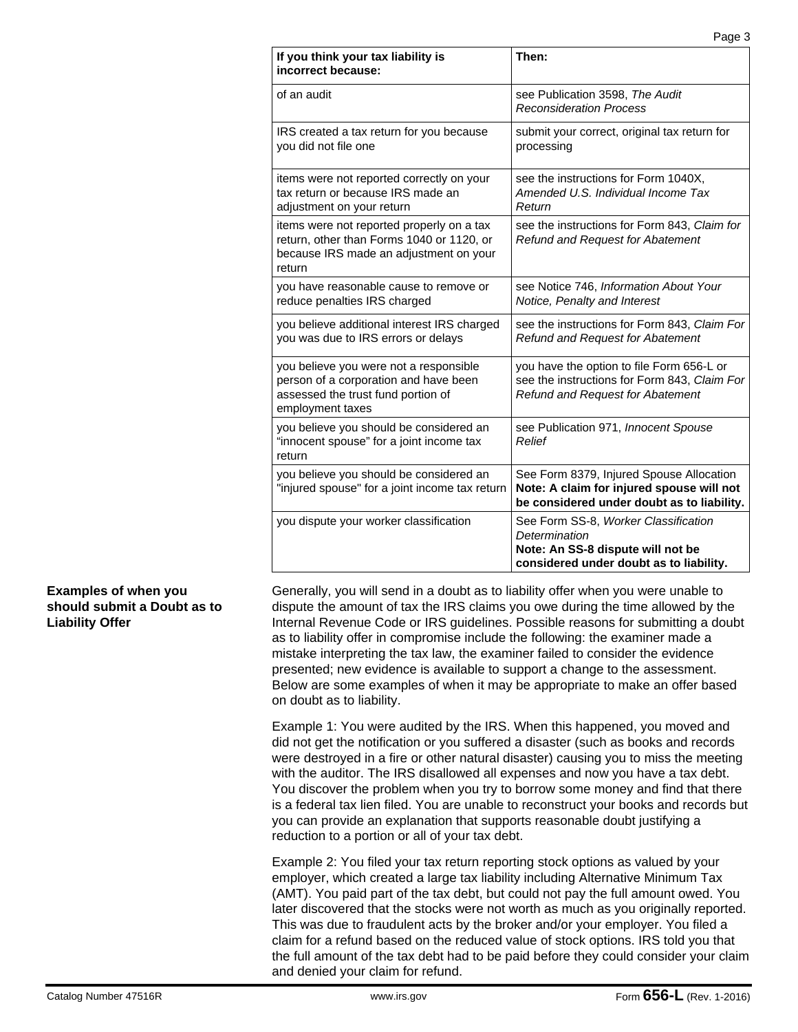| If you think your tax liability is<br>incorrect because:                                                                                   | Then:                                                                                                                                 |
|--------------------------------------------------------------------------------------------------------------------------------------------|---------------------------------------------------------------------------------------------------------------------------------------|
| of an audit                                                                                                                                | see Publication 3598, The Audit<br><b>Reconsideration Process</b>                                                                     |
| IRS created a tax return for you because<br>you did not file one                                                                           | submit your correct, original tax return for<br>processing                                                                            |
| items were not reported correctly on your<br>tax return or because IRS made an<br>adjustment on your return                                | see the instructions for Form 1040X,<br>Amended U.S. Individual Income Tax<br>Return                                                  |
| items were not reported properly on a tax<br>return, other than Forms 1040 or 1120, or<br>because IRS made an adjustment on your<br>return | see the instructions for Form 843, Claim for<br><b>Refund and Request for Abatement</b>                                               |
| you have reasonable cause to remove or<br>reduce penalties IRS charged                                                                     | see Notice 746, Information About Your<br>Notice, Penalty and Interest                                                                |
| you believe additional interest IRS charged<br>you was due to IRS errors or delays                                                         | see the instructions for Form 843, Claim For<br>Refund and Request for Abatement                                                      |
| you believe you were not a responsible<br>person of a corporation and have been<br>assessed the trust fund portion of<br>employment taxes  | you have the option to file Form 656-L or<br>see the instructions for Form 843, Claim For<br>Refund and Request for Abatement         |
| you believe you should be considered an<br>"innocent spouse" for a joint income tax<br>return                                              | see Publication 971, Innocent Spouse<br>Relief                                                                                        |
| you believe you should be considered an<br>"injured spouse" for a joint income tax return                                                  | See Form 8379, Injured Spouse Allocation<br>Note: A claim for injured spouse will not<br>be considered under doubt as to liability.   |
| you dispute your worker classification                                                                                                     | See Form SS-8, Worker Classification<br>Determination<br>Note: An SS-8 dispute will not be<br>considered under doubt as to liability. |

# **Examples of when you should submit a Doubt as to Liability Offer**

Generally, you will send in a doubt as to liability offer when you were unable to dispute the amount of tax the IRS claims you owe during the time allowed by the Internal Revenue Code or IRS guidelines. Possible reasons for submitting a doubt as to liability offer in compromise include the following: the examiner made a mistake interpreting the tax law, the examiner failed to consider the evidence presented; new evidence is available to support a change to the assessment. Below are some examples of when it may be appropriate to make an offer based on doubt as to liability.

Example 1: You were audited by the IRS. When this happened, you moved and did not get the notification or you suffered a disaster (such as books and records were destroyed in a fire or other natural disaster) causing you to miss the meeting with the auditor. The IRS disallowed all expenses and now you have a tax debt. You discover the problem when you try to borrow some money and find that there is a federal tax lien filed. You are unable to reconstruct your books and records but you can provide an explanation that supports reasonable doubt justifying a reduction to a portion or all of your tax debt.

Example 2: You filed your tax return reporting stock options as valued by your employer, which created a large tax liability including Alternative Minimum Tax (AMT). You paid part of the tax debt, but could not pay the full amount owed. You later discovered that the stocks were not worth as much as you originally reported. This was due to fraudulent acts by the broker and/or your employer. You filed a claim for a refund based on the reduced value of stock options. IRS told you that the full amount of the tax debt had to be paid before they could consider your claim and denied your claim for refund.

Page 3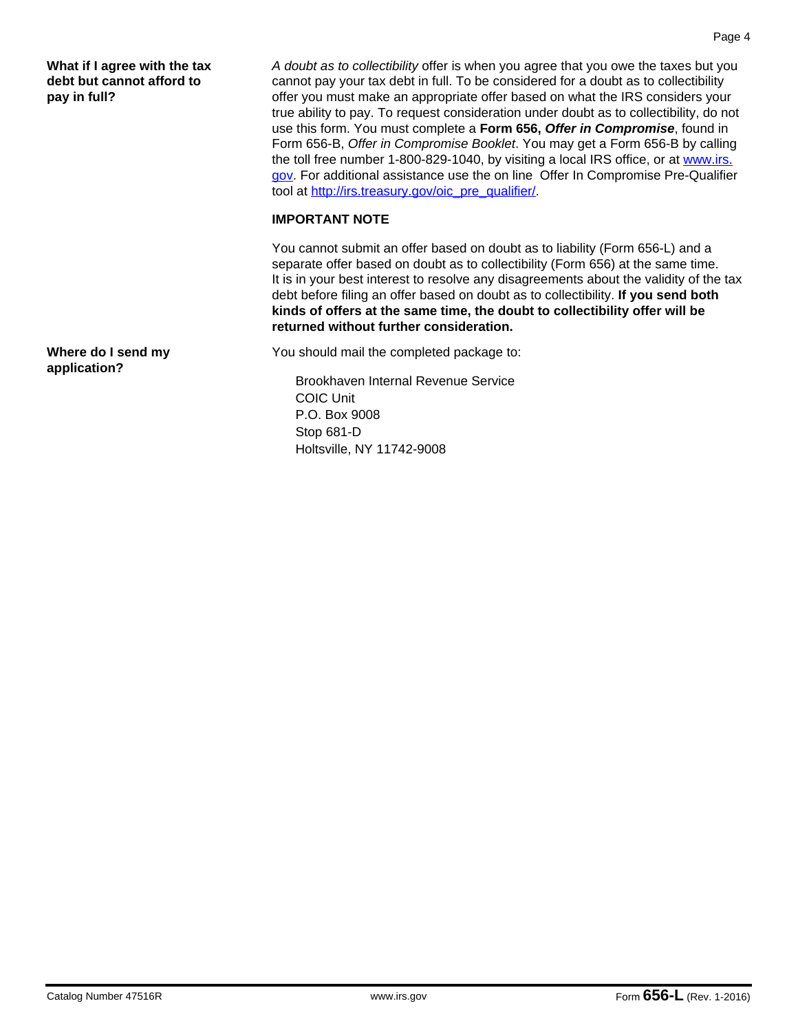**What if I agree with the tax debt but cannot afford to pay in full?**

**Where do I send my application?**

*A doubt as to collectibility* offer is when you agree that you owe the taxes but you cannot pay your tax debt in full. To be considered for a doubt as to collectibility offer you must make an appropriate offer based on what the IRS considers your true ability to pay. To request consideration under doubt as to collectibility, do not use this form. You must complete a **Form 656,** *Offer in Compromise*, found in Form 656-B, *Offer in Compromise Booklet*. You may get a Form 656-B by calling the toll free number 1-800-829-1040, by visiting a local IRS office, or at www.irs. gov. For additional assistance use the on line Offer In Compromise Pre-Qualifier tool at http://irs.treasury.gov/oic\_pre\_qualifier/.

# **IMPORTANT NOTE**

You cannot submit an offer based on doubt as to liability (Form 656-L) and a separate offer based on doubt as to collectibility (Form 656) at the same time. It is in your best interest to resolve any disagreements about the validity of the tax debt before filing an offer based on doubt as to collectibility. **If you send both kinds of offers at the same time, the doubt to collectibility offer will be returned without further consideration.**

You should mail the completed package to:

Brookhaven Internal Revenue Service COIC Unit P.O. Box 9008 Stop 681-D Holtsville, NY 11742-9008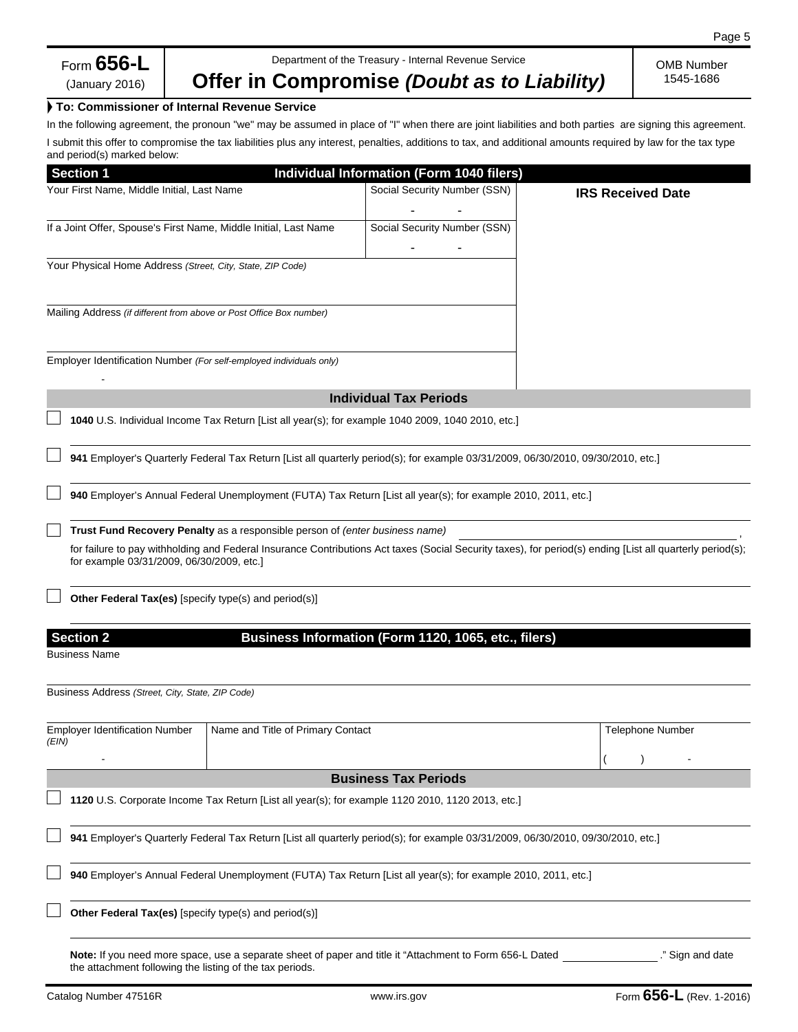# **Offer in Compromise** *(Doubt as to Liability)*

OMB Number 1545-1686

### ► **To: Commissioner of Internal Revenue Service**

In the following agreement, the pronoun "we" may be assumed in place of "I" when there are joint liabilities and both parties are signing this agreement. I submit this offer to compromise the tax liabilities plus any interest, penalties, additions to tax, and additional amounts required by law for the tax type and period(s) marked below:

| <b>Section 1</b>                                                    |                                                                                                                                                                                                        | Individual Information (Form 1040 filers)                                                                                        |  |                          |                  |  |  |
|---------------------------------------------------------------------|--------------------------------------------------------------------------------------------------------------------------------------------------------------------------------------------------------|----------------------------------------------------------------------------------------------------------------------------------|--|--------------------------|------------------|--|--|
| Your First Name, Middle Initial, Last Name                          |                                                                                                                                                                                                        | Social Security Number (SSN)                                                                                                     |  | <b>IRS Received Date</b> |                  |  |  |
| If a Joint Offer, Spouse's First Name, Middle Initial, Last Name    |                                                                                                                                                                                                        | Social Security Number (SSN)                                                                                                     |  |                          |                  |  |  |
| Your Physical Home Address (Street, City, State, ZIP Code)          |                                                                                                                                                                                                        |                                                                                                                                  |  |                          |                  |  |  |
| Mailing Address (if different from above or Post Office Box number) |                                                                                                                                                                                                        |                                                                                                                                  |  |                          |                  |  |  |
| Employer Identification Number (For self-employed individuals only) |                                                                                                                                                                                                        |                                                                                                                                  |  |                          |                  |  |  |
|                                                                     |                                                                                                                                                                                                        | <b>Individual Tax Periods</b>                                                                                                    |  |                          |                  |  |  |
|                                                                     |                                                                                                                                                                                                        | 1040 U.S. Individual Income Tax Return [List all year(s); for example 1040 2009, 1040 2010, etc.]                                |  |                          |                  |  |  |
|                                                                     |                                                                                                                                                                                                        | 941 Employer's Quarterly Federal Tax Return [List all quarterly period(s); for example 03/31/2009, 06/30/2010, 09/30/2010, etc.] |  |                          |                  |  |  |
|                                                                     | 940 Employer's Annual Federal Unemployment (FUTA) Tax Return [List all year(s); for example 2010, 2011, etc.]                                                                                          |                                                                                                                                  |  |                          |                  |  |  |
|                                                                     | Trust Fund Recovery Penalty as a responsible person of (enter business name)                                                                                                                           |                                                                                                                                  |  |                          |                  |  |  |
|                                                                     | for failure to pay withholding and Federal Insurance Contributions Act taxes (Social Security taxes), for period(s) ending [List all quarterly period(s);<br>for example 03/31/2009, 06/30/2009, etc.] |                                                                                                                                  |  |                          |                  |  |  |
| <b>Other Federal Tax(es)</b> [specify type(s) and period(s)]        |                                                                                                                                                                                                        |                                                                                                                                  |  |                          |                  |  |  |
| <b>Section 2</b><br><b>Business Name</b>                            |                                                                                                                                                                                                        | Business Information (Form 1120, 1065, etc., filers)                                                                             |  |                          |                  |  |  |
|                                                                     |                                                                                                                                                                                                        |                                                                                                                                  |  |                          |                  |  |  |
| Business Address (Street, City, State, ZIP Code)                    |                                                                                                                                                                                                        |                                                                                                                                  |  |                          |                  |  |  |
| <b>Employer Identification Number</b><br>(EIN)                      | Name and Title of Primary Contact                                                                                                                                                                      |                                                                                                                                  |  | <b>Telephone Number</b>  |                  |  |  |
|                                                                     |                                                                                                                                                                                                        |                                                                                                                                  |  |                          |                  |  |  |
|                                                                     |                                                                                                                                                                                                        | <b>Business Tax Periods</b>                                                                                                      |  |                          |                  |  |  |
|                                                                     |                                                                                                                                                                                                        | 1120 U.S. Corporate Income Tax Return [List all year(s); for example 1120 2010, 1120 2013, etc.]                                 |  |                          |                  |  |  |
|                                                                     |                                                                                                                                                                                                        | 941 Employer's Quarterly Federal Tax Return [List all quarterly period(s); for example 03/31/2009, 06/30/2010, 09/30/2010, etc.] |  |                          |                  |  |  |
|                                                                     |                                                                                                                                                                                                        | 940 Employer's Annual Federal Unemployment (FUTA) Tax Return [List all year(s); for example 2010, 2011, etc.]                    |  |                          |                  |  |  |
| Other Federal Tax(es) [specify type(s) and period(s)]               |                                                                                                                                                                                                        |                                                                                                                                  |  |                          |                  |  |  |
|                                                                     |                                                                                                                                                                                                        | Note: If you need more space, use a separate sheet of paper and title it "Attachment to Form 656-L Dated                         |  |                          | ." Sign and date |  |  |

the attachment following the listing of the tax periods.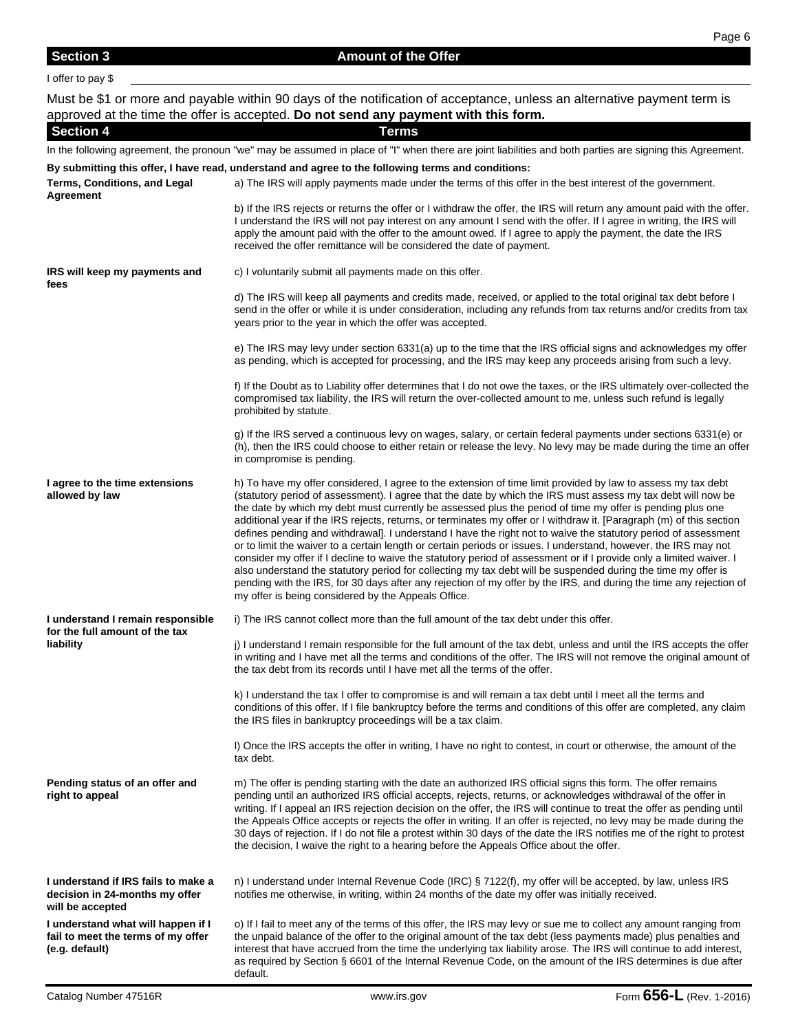**Section 4 Terms**

**By submitting this offer, I have read, understand and agree to the following terms and conditions:**

In the following agreement, the pronoun "we" may be assumed in place of "I" when there are joint liabilities and both parties are signing this Agreement.

#### **Terms, Conditions, and Legal Agreement** a) The IRS will apply payments made under the terms of this offer in the best interest of the government. b) If the IRS rejects or returns the offer or I withdraw the offer, the IRS will return any amount paid with the offer. I understand the IRS will not pay interest on any amount I send with the offer. If I agree in writing, the IRS will apply the amount paid with the offer to the amount owed. If I agree to apply the payment, the date the IRS received the offer remittance will be considered the date of payment. **IRS will keep my payments and fees** c) I voluntarily submit all payments made on this offer. d) The IRS will keep all payments and credits made, received, or applied to the total original tax debt before I send in the offer or while it is under consideration, including any refunds from tax returns and/or credits from tax years prior to the year in which the offer was accepted. e) The IRS may levy under section 6331(a) up to the time that the IRS official signs and acknowledges my offer as pending, which is accepted for processing, and the IRS may keep any proceeds arising from such a levy. f) If the Doubt as to Liability offer determines that I do not owe the taxes, or the IRS ultimately over-collected the compromised tax liability, the IRS will return the over-collected amount to me, unless such refund is legally prohibited by statute. g) If the IRS served a continuous levy on wages, salary, or certain federal payments under sections 6331(e) or (h), then the IRS could choose to either retain or release the levy. No levy may be made during the time an offer in compromise is pending. **I agree to the time extensions allowed by law** h) To have my offer considered, I agree to the extension of time limit provided by law to assess my tax debt (statutory period of assessment). I agree that the date by which the IRS must assess my tax debt will now be the date by which my debt must currently be assessed plus the period of time my offer is pending plus one additional year if the IRS rejects, returns, or terminates my offer or I withdraw it. [Paragraph (m) of this section defines pending and withdrawal]. I understand I have the right not to waive the statutory period of assessment or to limit the waiver to a certain length or certain periods or issues. I understand, however, the IRS may not consider my offer if I decline to waive the statutory period of assessment or if I provide only a limited waiver. I also understand the statutory period for collecting my tax debt will be suspended during the time my offer is pending with the IRS, for 30 days after any rejection of my offer by the IRS, and during the time any rejection of my offer is being considered by the Appeals Office. **I understand I remain responsible for the full amount of the tax liability** i) The IRS cannot collect more than the full amount of the tax debt under this offer. j) I understand I remain responsible for the full amount of the tax debt, unless and until the IRS accepts the offer in writing and I have met all the terms and conditions of the offer. The IRS will not remove the original amount of the tax debt from its records until I have met all the terms of the offer. k) I understand the tax I offer to compromise is and will remain a tax debt until I meet all the terms and conditions of this offer. If I file bankruptcy before the terms and conditions of this offer are completed, any claim the IRS files in bankruptcy proceedings will be a tax claim. l) Once the IRS accepts the offer in writing, I have no right to contest, in court or otherwise, the amount of the tax debt. **Pending status of an offer and right to appeal** m) The offer is pending starting with the date an authorized IRS official signs this form. The offer remains pending until an authorized IRS official accepts, rejects, returns, or acknowledges withdrawal of the offer in writing. If I appeal an IRS rejection decision on the offer, the IRS will continue to treat the offer as pending until the Appeals Office accepts or rejects the offer in writing. If an offer is rejected, no levy may be made during the 30 days of rejection. If I do not file a protest within 30 days of the date the IRS notifies me of the right to protest the decision, I waive the right to a hearing before the Appeals Office about the offer. **I understand if IRS fails to make a decision in 24-months my offer will be accepted** n) I understand under Internal Revenue Code (IRC) § 7122(f), my offer will be accepted, by law, unless IRS notifies me otherwise, in writing, within 24 months of the date my offer was initially received. **I understand what will happen if I fail to meet the terms of my offer**  o) If I fail to meet any of the terms of this offer, the IRS may levy or sue me to collect any amount ranging from the unpaid balance of the offer to the original amount of the tax debt (less payments made) plus penalties and interest that have accrued from the time the underlying tax liability arose. The IRS will continue to add interest,

default.

**(e.g. default)**

as required by Section § 6601 of the Internal Revenue Code, on the amount of the IRS determines is due after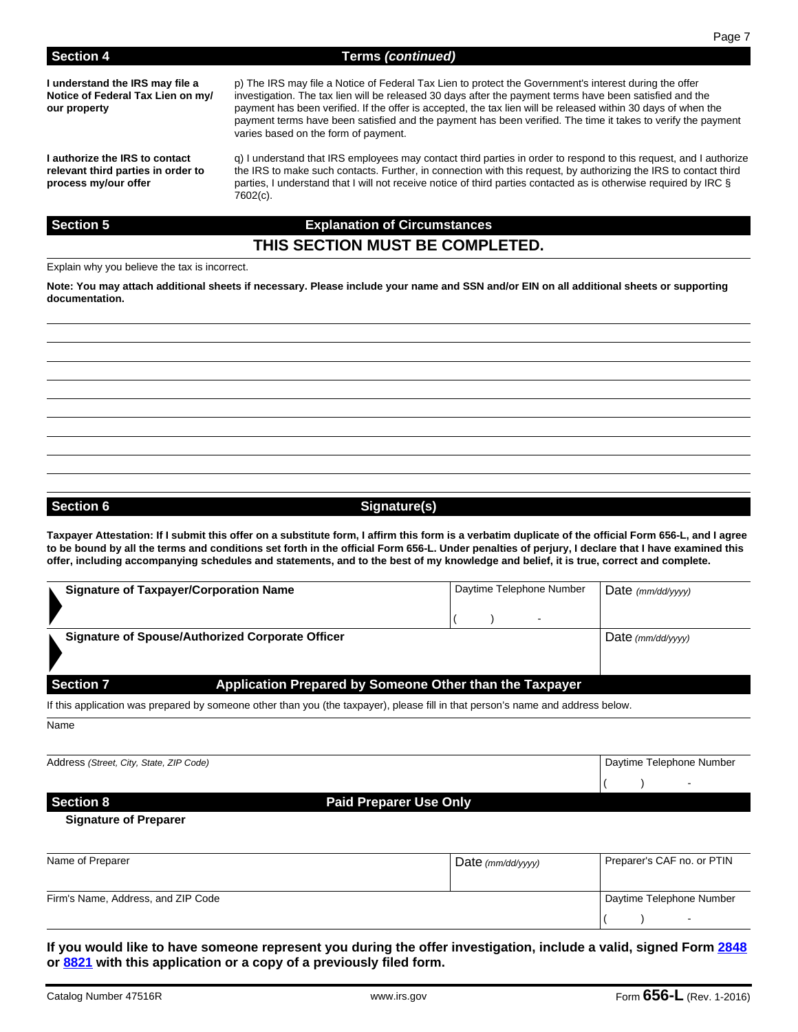**I understand the IRS may file a Notice of Federal Tax Lien on my/ our property**

**I authorize the IRS to contact relevant third parties in order to process my/our offer**

p) The IRS may file a Notice of Federal Tax Lien to protect the Government's interest during the offer investigation. The tax lien will be released 30 days after the payment terms have been satisfied and the payment has been verified. If the offer is accepted, the tax lien will be released within 30 days of when the payment terms have been satisfied and the payment has been verified. The time it takes to verify the payment varies based on the form of payment.

q) I understand that IRS employees may contact third parties in order to respond to this request, and I authorize the IRS to make such contacts. Further, in connection with this request, by authorizing the IRS to contact third parties, I understand that I will not receive notice of third parties contacted as is otherwise required by IRC § 7602(c).

### **Section 5 Explanation of Circumstances**

# **THIS SECTION MUST BE COMPLETED.**

Explain why you believe the tax is incorrect.

**Note: You may attach additional sheets if necessary. Please include your name and SSN and/or EIN on all additional sheets or supporting documentation.**

# Section 6 Section 6 Signature(s)

**Taxpayer Attestation: If I submit this offer on a substitute form, I affirm this form is a verbatim duplicate of the official Form 656-L, and I agree to be bound by all the terms and conditions set forth in the official Form 656-L. Under penalties of perjury, I declare that I have examined this offer, including accompanying schedules and statements, and to the best of my knowledge and belief, it is true, correct and complete.**

| <b>Signature of Taxpayer/Corporation Name</b>    |                                                         |  |                                                             | Daytime Telephone Number | $\mid$ Date (mm/dd/yyyy) |
|--------------------------------------------------|---------------------------------------------------------|--|-------------------------------------------------------------|--------------------------|--------------------------|
|                                                  |                                                         |  |                                                             |                          |                          |
| Signature of Spouse/Authorized Corporate Officer |                                                         |  | Date $\langle \textit{mm}/\textit{dd}/\textit{VVV} \rangle$ |                          |                          |
| <b>Section 7</b>                                 | Application Prepared by Someone Other than the Taxpayer |  |                                                             |                          |                          |

If this application was prepared by someone other than you (the taxpayer), please fill in that person's name and address below.

Name

Address *(Street, City, State, ZIP Code)* **Daytime Telephone Number Daytime Telephone Number Daytime Telephone Number** 

# **Section 8 Paid Preparer Use Only**

# ( ) -

#### **Signature of Preparer**

| Name of Preparer                   | Date $\langle mm/dd/\gamma\gamma\gamma\rangle$ | Preparer's CAF no. or PTIN |
|------------------------------------|------------------------------------------------|----------------------------|
| Firm's Name, Address, and ZIP Code |                                                | Daytime Telephone Number   |
|                                    |                                                | $\sim$                     |

**If you would like to have someone represent you during the offer investigation, include a valid, signed Form 2848 or 8821 with this application or a copy of a previously filed form.**